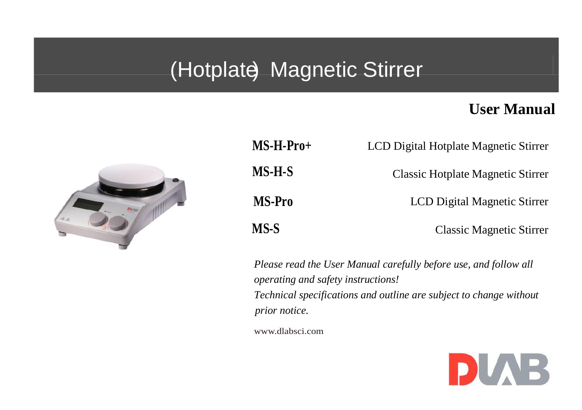# (Hotplate) Magnetic Stirrer

### **User Manual**



| $MS-H-Pro+$   | LCD Digital Hotplate Magnetic Stirrer |
|---------------|---------------------------------------|
| MS-H-S        | Classic Hotplate Magnetic Stirrer     |
| <b>MS-Pro</b> | LCD Digital Magnetic Stirrer          |
| MS-S          | <b>Classic Magnetic Stirrer</b>       |

*Please read the User Manual carefully before use, and follow all operating and safety instructions! Technical specifications and outline are subject to change without prior notice.*

[www.dlabsci.com](http://www.dragon-lab.com/)

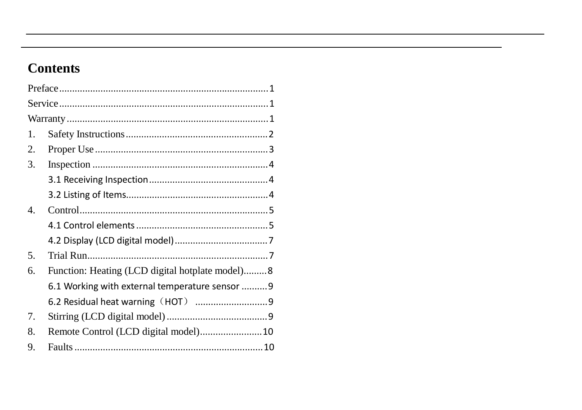### **Contents**

| 1. |                                                 |  |
|----|-------------------------------------------------|--|
| 2. |                                                 |  |
| 3. |                                                 |  |
|    |                                                 |  |
|    |                                                 |  |
| 4. |                                                 |  |
|    |                                                 |  |
|    |                                                 |  |
| 5. |                                                 |  |
| 6. | Function: Heating (LCD digital hotplate model)8 |  |
|    | 6.1 Working with external temperature sensor  9 |  |
|    |                                                 |  |
| 7. |                                                 |  |
| 8. |                                                 |  |
| 9. |                                                 |  |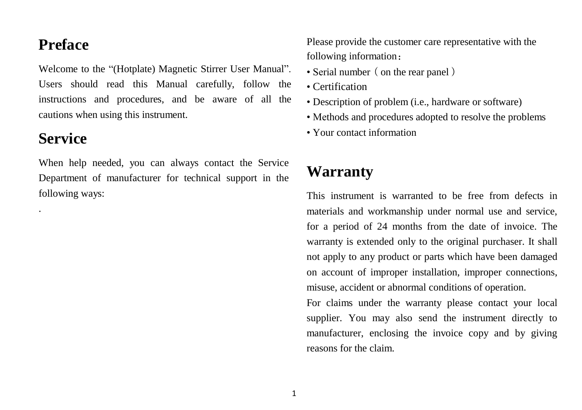### **Preface**

Welcome to the "(Hotplate) Magnetic Stirrer User Manual". Users should read this Manual carefully, follow the instructions and procedures, and be aware of all the cautions when using this instrument.

### **Service**

.

When help needed, you can always contact the Service Department of manufacturer for technical support in the following ways:

Please provide the customer care representative with the following information:

- Serial number (on the rear panel)
- Certification
- Description of problem (i.e., hardware or software)
- Methods and procedures adopted to resolve the problems
- Your contact information

## **Warranty**

This instrument is warranted to be free from defects in materials and workmanship under normal use and service, for a period of 24 months from the date of invoice. The warranty is extended only to the original purchaser. It shall not apply to any product or parts which have been damaged on account of improper installation, improper connections, misuse, accident or abnormal conditions of operation.

For claims under the warranty please contact your local supplier. You may also send the instrument directly to manufacturer, enclosing the invoice copy and by giving reasons for the claim.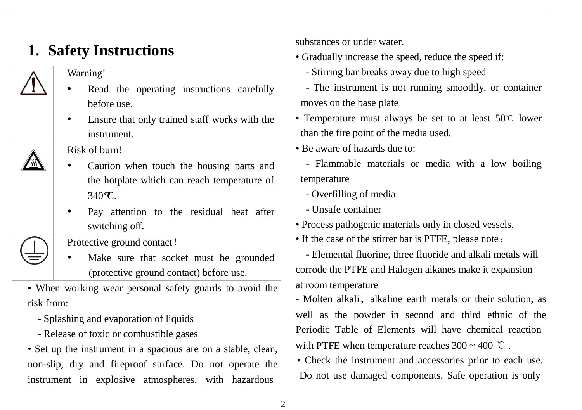## **1. Safety Instructions**

#### Warning!

- Read the operating instructions carefully before use.
- Ensure that only trained staff works with the instrument.

Risk of burn!

- Caution when touch the housing parts and the hotplate which can reach temperature of  $340 \, \text{C}$ .
- Pay attention to the residual heat after switching off.

Protective ground contact!

Make sure that socket must be grounded (protective ground contact) before use.

• When working wear personal safety guards to avoid the risk from:

- Splashing and evaporation of liquids
- Release of toxic or combustible gases

• Set up the instrument in a spacious are on a stable, clean, non-slip, dry and fireproof surface. Do not operate the instrument in explosive atmospheres, with hazardous

substances or under water.

- Gradually increase the speed, reduce the speed if:
	- Stirring bar breaks away due to high speed
- The instrument is not running smoothly, or container moves on the base plate
- Temperature must always be set to at least 50℃ lower than the fire point of the media used.

• Be aware of hazards due to:

- Flammable materials or media with a low boiling temperature

- Overfilling of media

- Unsafe container

- Process pathogenic materials only in closed vessels.
- If the case of the stirrer bar is PTFE, please note:

- Elemental fluorine, three fluoride and alkali metals will corrode the PTFE and Halogen alkanes make it expansion at room temperature

- Molten alkali, alkaline earth metals or their solution, as well as the powder in second and third ethnic of the Periodic Table of Elements will have chemical reaction with PTFE when temperature reaches  $300 \sim 400$  °C.

• Check the instrument and accessories prior to each use. Do not use damaged components. Safe operation is only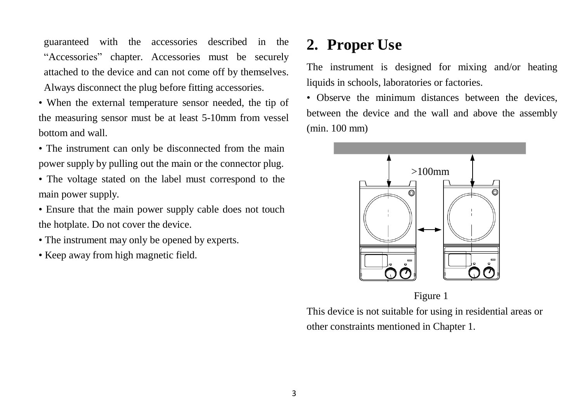guaranteed with the accessories described in the "Accessories" chapter. Accessories must be securely attached to the device and can not come off by themselves. Always disconnect the plug before fitting accessories.

• When the external temperature sensor needed, the tip of the measuring sensor must be at least 5-10mm from vessel bottom and wall.

- The instrument can only be disconnected from the main power supply by pulling out the main or the connector plug.
- The voltage stated on the label must correspond to the main power supply.
- Ensure that the main power supply cable does not touch the hotplate. Do not cover the device.
- The instrument may only be opened by experts.
- Keep away from high magnetic field.

### **2. Proper Use**

The instrument is designed for mixing and/or heating liquids in schools, laboratories or factories.

• Observe the minimum distances between the devices, between the device and the wall and above the assembly (min. 100 mm)



Figure 1

This device is not suitable for using in residential areas or other constraints mentioned in Chapter 1.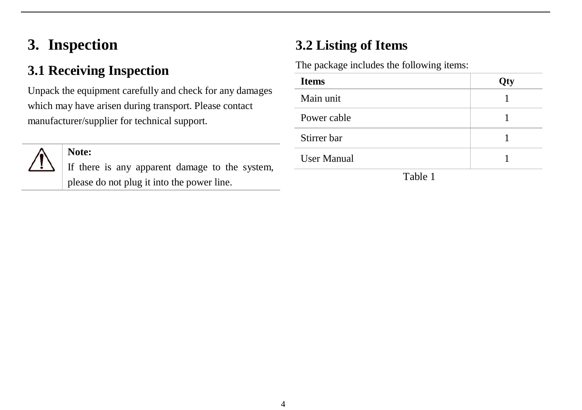## **3. Inspection**

### **3.1 Receiving Inspection**

Unpack the equipment carefully and check for any damages which may have arisen during transport. Please contact manufacturer/supplier for technical support.



#### **Note:**

If there is any apparent damage to the system, please do not plug it into the power line.

### **3.2 Listing of Items**

The package includes the following items:

| <b>Items</b>       | Qty |
|--------------------|-----|
| Main unit          |     |
| Power cable        |     |
| Stirrer bar        |     |
| <b>User Manual</b> |     |
| 77.11.1            |     |

Table 1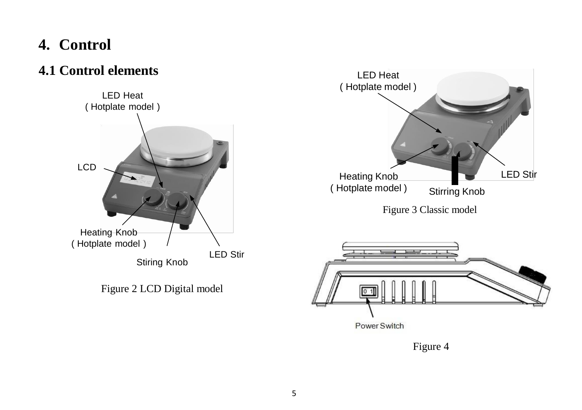## **4. Control**

### **4.1 Control elements**



Figure 2 LCD Digital model



Figure 4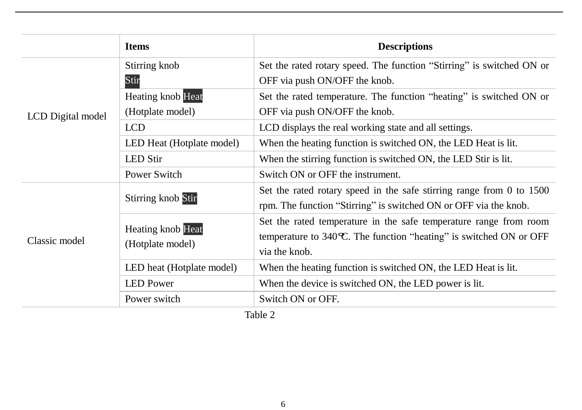| <b>Items</b>              | <b>Descriptions</b>                                                    |  |  |
|---------------------------|------------------------------------------------------------------------|--|--|
| Stirring knob             | Set the rated rotary speed. The function "Stirring" is switched ON or  |  |  |
| Stir                      | OFF via push ON/OFF the knob.                                          |  |  |
| <b>Heating knob Heat</b>  | Set the rated temperature. The function "heating" is switched ON or    |  |  |
| (Hotplate model)          | OFF via push ON/OFF the knob.                                          |  |  |
| <b>LCD</b>                | LCD displays the real working state and all settings.                  |  |  |
| LED Heat (Hotplate model) | When the heating function is switched ON, the LED Heat is lit.         |  |  |
| <b>LED Stir</b>           | When the stirring function is switched ON, the LED Stir is lit.        |  |  |
| Power Switch              | Switch ON or OFF the instrument.                                       |  |  |
|                           | Set the rated rotary speed in the safe stirring range from 0 to 1500   |  |  |
|                           | rpm. The function "Stirring" is switched ON or OFF via the knob.       |  |  |
|                           | Set the rated temperature in the safe temperature range from room      |  |  |
| (Hotplate model)          | temperature to 340 $\,$ . The function "heating" is switched ON or OFF |  |  |
|                           | via the knob.                                                          |  |  |
| LED heat (Hotplate model) | When the heating function is switched ON, the LED Heat is lit.         |  |  |
| <b>LED</b> Power          | When the device is switched ON, the LED power is lit.                  |  |  |
| Power switch              | Switch ON or OFF.                                                      |  |  |
|                           | Stirring knob Stir<br><b>Heating knob Heat</b><br>$T_0 h l_0 \Omega$   |  |  |

Table 2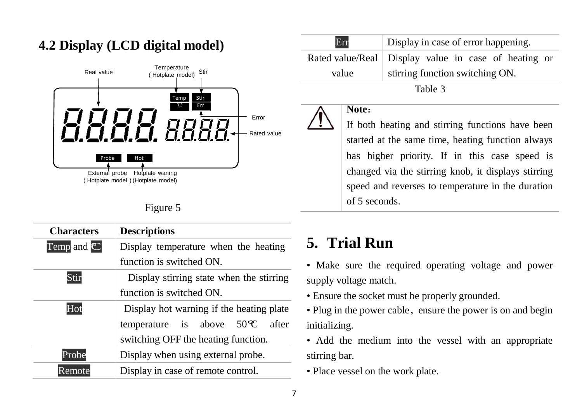

### **4.2 Display (LCD digital model)**

| п |  |
|---|--|
|---|--|

| <b>Characters</b>     | <b>Descriptions</b>                                      |  |  |  |
|-----------------------|----------------------------------------------------------|--|--|--|
| Temp and $\mathbb{C}$ | Display temperature when the heating                     |  |  |  |
|                       | function is switched ON.                                 |  |  |  |
| Stir                  | Display stirring state when the stirring                 |  |  |  |
|                       | function is switched ON.                                 |  |  |  |
| Hot                   | Display hot warning if the heating plate                 |  |  |  |
|                       | temperature is above $50 \text{ }^{\circ}\text{C}$ after |  |  |  |
|                       | switching OFF the heating function.                      |  |  |  |
| Probe                 | Display when using external probe.                       |  |  |  |
| Remote                | Display in case of remote control.                       |  |  |  |

| Err     | Display in case of error happening.                    |  |  |
|---------|--------------------------------------------------------|--|--|
|         | Rated value/Real   Display value in case of heating or |  |  |
| value   | stirring function switching ON.                        |  |  |
| Table 3 |                                                        |  |  |

#### **Note**:

If both heating and stirring functions have been started at the same time, heating function always has higher priority. If in this case speed is  $\frac{1}{\text{External probe}}$  Hotplate waning changed via the stirring knob, it displays stirring speed and reverses to temperature in the duration of 5 seconds.

## **5. Trial Run**

• Make sure the required operating voltage and power supply voltage match.

- Ensure the socket must be properly grounded.
- Plug in the power cable, ensure the power is on and begin initializing.

• Add the medium into the vessel with an appropriate stirring bar.

• Place vessel on the work plate.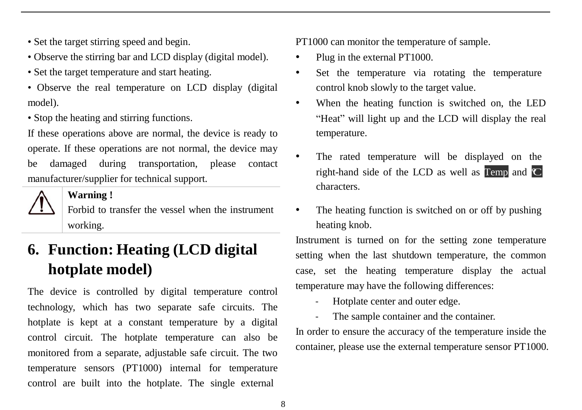- Set the target stirring speed and begin.
- Observe the stirring bar and LCD display (digital model).
- Set the target temperature and start heating.
- Observe the real temperature on LCD display (digital model).
- Stop the heating and stirring functions.

If these operations above are normal, the device is ready to operate. If these operations are not normal, the device may be damaged during transportation, please contact manufacturer/supplier for technical support.



#### **Warning !**

Forbid to transfer the vessel when the instrument working.

## **6. Function: Heating (LCD digital hotplate model)**

The device is controlled by digital temperature control technology, which has two separate safe circuits. The hotplate is kept at a constant temperature by a digital control circuit. The hotplate temperature can also be monitored from a separate, adjustable safe circuit. The two temperature sensors (PT1000) internal for temperature control are built into the hotplate. The single external

PT1000 can monitor the temperature of sample.

- Plug in the external PT1000.
- Set the temperature via rotating the temperature control knob slowly to the target value.
- When the heating function is switched on, the LED "Heat" will light up and the LCD will display the real temperature.
- The rated temperature will be displayed on the right-hand side of the LCD as well as  $\Gamma$ emp and  $\mathbb{C}$ characters.
- The heating function is switched on or off by pushing heating knob.

Instrument is turned on for the setting zone temperature setting when the last shutdown temperature, the common case, set the heating temperature display the actual temperature may have the following differences:

- Hotplate center and outer edge.
- The sample container and the container.

In order to ensure the accuracy of the temperature inside the container, please use the external temperature sensor PT1000.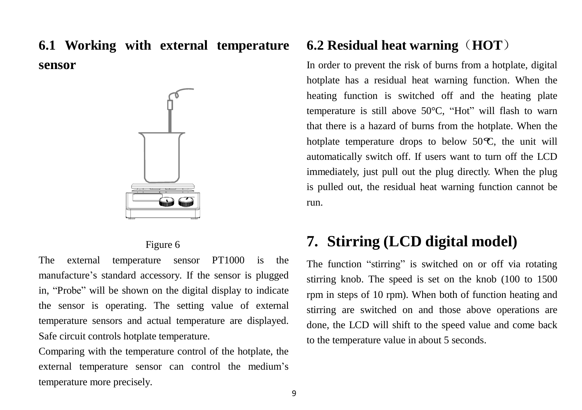### **6.1 Working with external temperature sensor**



#### Figure 6

The external temperature sensor PT1000 is the manufacture's standard accessory. If the sensor is plugged in, "Probe" will be shown on the digital display to indicate the sensor is operating. The setting value of external temperature sensors and actual temperature are displayed. Safe circuit controls hotplate temperature.

Comparing with the temperature control of the hotplate, the external temperature sensor can control the medium's temperature more precisely.

#### **6.2 Residual heat warning**(**HOT**)

In order to prevent the risk of burns from a hotplate, digital hotplate has a residual heat warning function. When the heating function is switched off and the heating plate temperature is still above 50°C, "Hot" will flash to warn that there is a hazard of burns from the hotplate. When the hotplate temperature drops to below 50 $\,$ ec, the unit will automatically switch off. If users want to turn off the LCD immediately, just pull out the plug directly. When the plug is pulled out, the residual heat warning function cannot be run.

### **7. Stirring (LCD digital model)**

The function "stirring" is switched on or off via rotating stirring knob. The speed is set on the knob (100 to 1500 rpm in steps of 10 rpm). When both of function heating and stirring are switched on and those above operations are done, the LCD will shift to the speed value and come back to the temperature value in about 5 seconds.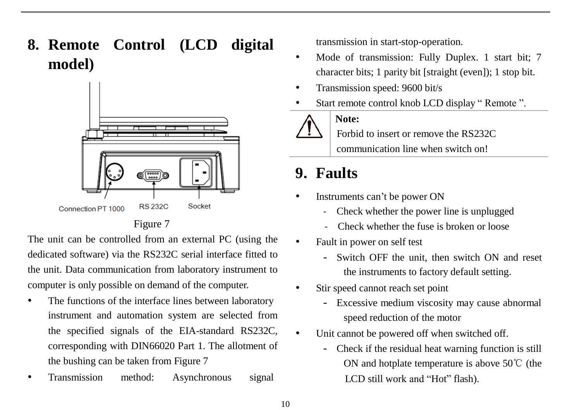**8. Remote Control (LCD digital model)**



The unit can be controlled from an external PC (using the dedicated software) via the RS232C serial interface fitted to the unit. Data communication from laboratory instrument to computer is only possible on demand of the computer.

- The functions of the interface lines between laboratory instrument and automation system are selected from the specified signals of the EIA-standard RS232C, corresponding with DIN66020 Part 1. The allotment of the bushing can be taken from Figure 7
- Transmission method: Asynchronous signal

transmission in start-stop-operation.

- Mode of transmission: Fully Duplex. 1 start bit; 7 character bits; 1 parity bit [straight (even]); 1 stop bit.
- Transmission speed: 9600 bit/s
- Start remote control knob LCD display " Remote ".



**Note:**

Forbid to insert or remove the RS232C

communication line when switch on!

## **9. Faults**

- Instruments can't be power ON
	- Check whether the power line is unplugged
	- Check whether the fuse is broken or loose
- Fault in power on self test
	- Switch OFF the unit, then switch ON and reset the instruments to factory default setting.
- Stir speed cannot reach set point
	- Excessive medium viscosity may cause abnormal speed reduction of the motor
	- Unit cannot be powered off when switched off.
		- Check if the residual heat warning function is still ON and hotplate temperature is above 50℃ (the LCD still work and "Hot" flash).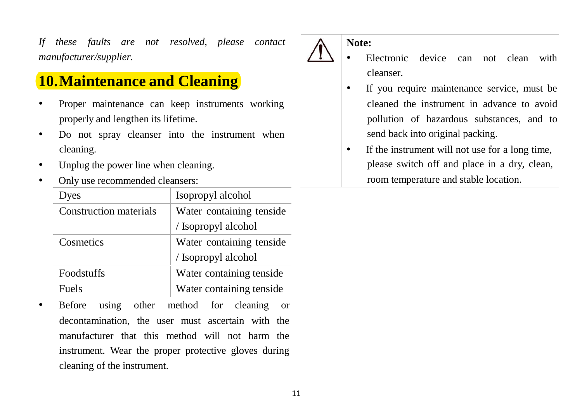*If these faults are not resolved, please contact manufacturer/supplier.*

## **10.Maintenance and Cleaning**

- Proper maintenance can keep instruments working properly and lengthen its lifetime.
- Do not spray cleanser into the instrument when cleaning.
- Unplug the power line when cleaning.
- Only use recommended cleansers:

| Dyes                          | Isopropyl alcohol        |  |
|-------------------------------|--------------------------|--|
| <b>Construction materials</b> | Water containing tenside |  |
|                               | / Isopropyl alcohol      |  |
| Cosmetics                     | Water containing tenside |  |
|                               | / Isopropyl alcohol      |  |
| <b>Foodstuffs</b>             | Water containing tenside |  |
| Fuels                         | Water containing tenside |  |

Before using other method for cleaning or decontamination, the user must ascertain with the manufacturer that this method will not harm the instrument. Wear the proper protective gloves during cleaning of the instrument.

#### **Note:**

- Electronic device can not clean with cleanser.
- If you require maintenance service, must be cleaned the instrument in advance to avoid pollution of hazardous substances, and to send back into original packing.
- If the instrument will not use for a long time, please switch off and place in a dry, clean, room temperature and stable location.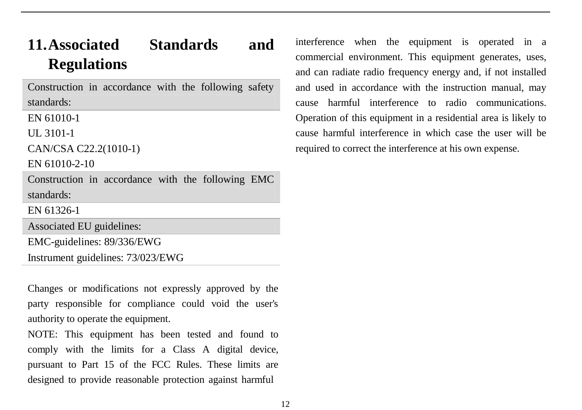## **11.Associated Standards and Regulations**

Construction in accordance with the following safety standards:

EN 61010-1

UL 3101-1

```
CAN/CSA C22.2(1010-1)
```
EN 61010-2-10

Construction in accordance with the following EMC standards:

EN 61326-1

Associated EU guidelines:

EMC-guidelines: 89/336/EWG

Instrument guidelines: 73/023/EWG

Changes or modifications not expressly approved by the party responsible for compliance could void the user's authority to operate the equipment.

NOTE: This equipment has been tested and found to comply with the limits for a Class A digital device, pursuant to Part 15 of the FCC Rules. These limits are designed to provide reasonable protection against harmful

interference when the equipment is operated in a commercial environment. This equipment generates, uses, and can radiate radio frequency energy and, if not installed and used in accordance with the instruction manual, may cause harmful interference to radio communications. Operation of this equipment in a residential area is likely to cause harmful interference in which case the user will be required to correct the interference at his own expense.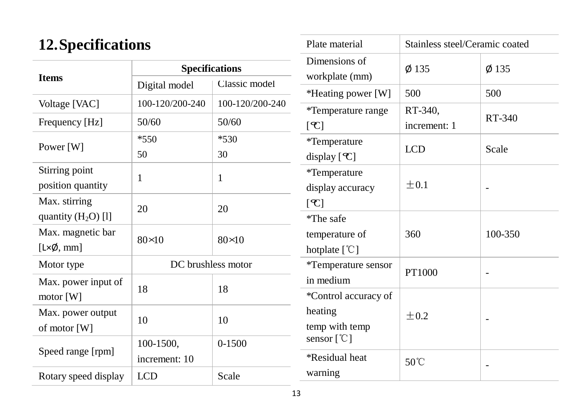## **12.Specifications**

|                                                 | <b>Specifications</b> |                 |  |
|-------------------------------------------------|-----------------------|-----------------|--|
| <b>Ifems</b>                                    | Digital model         | Classic model   |  |
| Voltage [VAC]                                   | 100-120/200-240       | 100-120/200-240 |  |
| Frequency [Hz]                                  | 50/60                 | 50/60           |  |
| Power [W]                                       | $*550$                | $*530$          |  |
|                                                 | 50                    | 30              |  |
| Stirring point<br>position quantity             | 1                     | 1               |  |
| Max. stirring<br>quantity $(H_2O)$ [1]          | 20                    | 20              |  |
| Max. magnetic bar<br>$[L \times \emptyset, mm]$ | $80 \times 0$         | $80 \times 0$   |  |
| Motor type                                      | DC brushless motor    |                 |  |
| Max. power input of<br>motor [W]                | 18                    | 18              |  |
| Max. power output<br>of motor [W]               | 10                    | 10              |  |
|                                                 | 100-1500,             | 0-1500          |  |
| Speed range [rpm]                               | increment: 10         |                 |  |
| Rotary speed display                            | <b>LCD</b>            | Scale           |  |

| Plate material                                 | Stainless steel/Ceramic coated |         |  |
|------------------------------------------------|--------------------------------|---------|--|
| Dimensions of                                  | $\phi$ 135                     | Ø 135   |  |
| workplate (mm)                                 |                                |         |  |
| *Heating power [W]                             | 500                            | 500     |  |
| *Temperature range                             | RT-340,                        | RT-340  |  |
| [e]                                            | increment: 1                   |         |  |
| *Temperature                                   | <b>LCD</b>                     |         |  |
| display $[C]$                                  |                                | Scale   |  |
| *Temperature                                   |                                |         |  |
| display accuracy                               | $\pm 0.1$                      |         |  |
| $\mathcal{C}$                                  |                                |         |  |
| *The safe                                      |                                |         |  |
| temperature of                                 | 360                            | 100-350 |  |
| hotplate $[°C]$                                |                                |         |  |
| *Temperature sensor                            | PT1000                         |         |  |
| in medium                                      |                                |         |  |
| *Control accuracy of                           |                                |         |  |
| heating                                        | $+0.2$                         |         |  |
| temp with temp<br>sensor $[$ <sup>°C</sup> $]$ |                                |         |  |
| <i><b>*Residual heat</b></i>                   | 50°C                           |         |  |
| warning                                        |                                |         |  |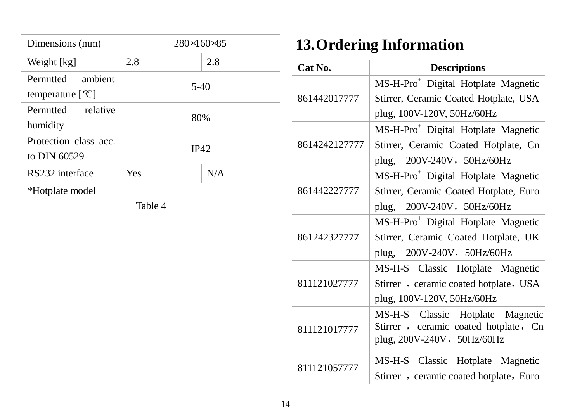| Dimensions (mm)                                             | 280 × 60 × 85 |              | <b>13. Ordering Information</b>                                                                                            |                                                                                                                          |
|-------------------------------------------------------------|---------------|--------------|----------------------------------------------------------------------------------------------------------------------------|--------------------------------------------------------------------------------------------------------------------------|
| Weight [kg]                                                 | 2.8           | 2.8          | Cat No.                                                                                                                    | <b>Descriptions</b>                                                                                                      |
| ambient<br>Permitted<br>temperature $[$ $C]$                |               | $5-40$       | 861442017777                                                                                                               | MS-H-Pro <sup>+</sup> Digital Hotplate Magnetic<br>Stirrer, Ceramic Coated Hotplate, USA                                 |
| Permitted<br>relative<br>humidity                           | 80%<br>IP42   |              |                                                                                                                            | plug, 100V-120V, 50Hz/60Hz                                                                                               |
| Protection class acc.<br>to DIN 60529                       |               |              | 8614242127777                                                                                                              | MS-H-Pro <sup>+</sup> Digital Hotplate Magnetic<br>Stirrer, Ceramic Coated Hotplate, Cn<br>200V-240V, 50Hz/60Hz<br>plug, |
| N/A<br>RS232 interface<br>Yes<br>*Hotplate model<br>Table 4 |               | 861442227777 | MS-H-Pro <sup>+</sup> Digital Hotplate Magnetic<br>Stirrer, Ceramic Coated Hotplate, Euro<br>200V-240V, 50Hz/60Hz<br>plug, |                                                                                                                          |
|                                                             |               |              | 861242327777                                                                                                               | MS-H-Pro <sup>+</sup> Digital Hotplate Magnetic<br>Stirrer, Ceramic Coated Hotplate, UK<br>200V-240V, 50Hz/60Hz<br>plug, |
|                                                             |               |              | 811121027777                                                                                                               | MS-H-S Classic Hotplate Magnetic<br>Stirrer, ceramic coated hotplate, USA<br>plug, 100V-120V, 50Hz/60Hz                  |
|                                                             |               |              | 811121017777                                                                                                               | MS-H-S Classic Hotplate Magnetic<br>Stirrer, ceramic coated hotplate, Cn<br>plug, 200V-240V, 50Hz/60Hz                   |
|                                                             |               |              | 811121057777                                                                                                               | MS-H-S Classic Hotplate Magnetic<br>Stirrer, ceramic coated hotplate, Euro                                               |
|                                                             |               |              |                                                                                                                            |                                                                                                                          |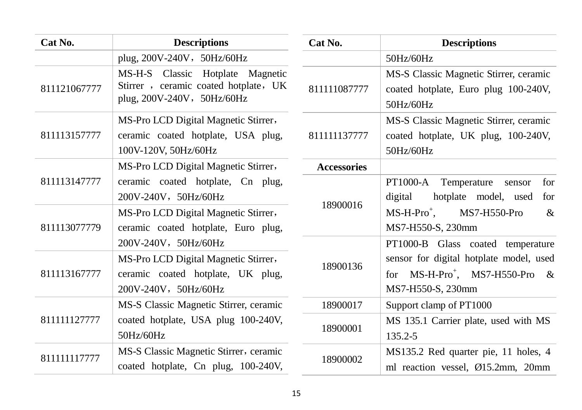| Cat No.                      | <b>Descriptions</b>                                                                                                                      | Cat No.            | <b>Descriptions</b>                                                                                                                           |
|------------------------------|------------------------------------------------------------------------------------------------------------------------------------------|--------------------|-----------------------------------------------------------------------------------------------------------------------------------------------|
|                              | plug, 200V-240V, 50Hz/60Hz                                                                                                               |                    | 50Hz/60Hz                                                                                                                                     |
| 811121067777                 | MS-H-S Classic Hotplate Magnetic<br>Stirrer, ceramic coated hotplate, UK<br>plug, 200V-240V, 50Hz/60Hz                                   | 811111087777       | MS-S Classic Magnetic Stirrer, ceramic<br>coated hotplate, Euro plug 100-240V,<br>50Hz/60Hz                                                   |
| 811113157777                 | MS-Pro LCD Digital Magnetic Stirrer,<br>ceramic coated hotplate, USA plug,<br>100V-120V, 50Hz/60Hz                                       | 811111137777       | MS-S Classic Magnetic Stirrer, ceramic<br>coated hotplate, UK plug, 100-240V,<br>50Hz/60Hz                                                    |
|                              | MS-Pro LCD Digital Magnetic Stirrer,                                                                                                     | <b>Accessories</b> |                                                                                                                                               |
| 811113147777<br>811113077779 | ceramic coated hotplate, Cn plug,<br>200V-240V, 50Hz/60Hz<br>MS-Pro LCD Digital Magnetic Stirrer,<br>ceramic coated hotplate, Euro plug, | 18900016           | PT1000-A<br>Temperature sensor<br>for<br>digital<br>hotplate model, used<br>for<br>$MS-H-Pro^{+}$ ,<br>MS7-H550-Pro<br>&<br>MS7-H550-S, 230mm |
| 811113167777                 | 200V-240V, 50Hz/60Hz<br>MS-Pro LCD Digital Magnetic Stirrer,<br>ceramic coated hotplate, UK plug,<br>200V-240V, 50Hz/60Hz                | 18900136           | PT1000-B Glass coated temperature<br>sensor for digital hotplate model, used<br>for $MS-H-Pro^+$ , MS7-H550-Pro &<br>MS7-H550-S, 230mm        |
| 811111127777                 | MS-S Classic Magnetic Stirrer, ceramic                                                                                                   | 18900017           | Support clamp of PT1000                                                                                                                       |
|                              | coated hotplate, USA plug 100-240V,<br>50Hz/60Hz                                                                                         | 18900001           | MS 135.1 Carrier plate, used with MS<br>135.2-5                                                                                               |
| 811111117777                 | MS-S Classic Magnetic Stirrer, ceramic<br>coated hotplate, Cn plug, 100-240V,                                                            | 18900002           | MS135.2 Red quarter pie, 11 holes, 4<br>ml reaction vessel, Ø15.2mm, 20mm                                                                     |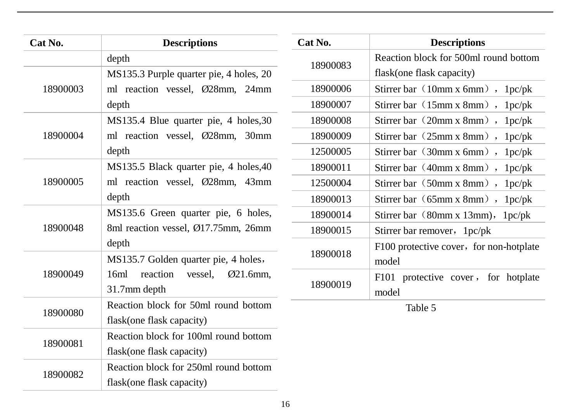| Cat No.  | <b>Descriptions</b>                        | Cat No.  | <b>Descriptions</b>                     |
|----------|--------------------------------------------|----------|-----------------------------------------|
|          | depth                                      | 18900083 | Reaction block for 500ml round bottom   |
| 18900003 | MS135.3 Purple quarter pie, 4 holes, 20    |          | flask(one flask capacity)               |
|          | ml reaction vessel, Ø28mm, 24mm            | 18900006 | Stirrer bar $(10mm x 6mm)$ , $1pc/pk$   |
|          | depth                                      | 18900007 | Stirrer bar (15mm x 8mm),<br>1pc/pk     |
| 18900004 | MS135.4 Blue quarter pie, 4 holes, 30      | 18900008 | Stirrer bar (20mm x 8mm),<br>1pc/pk     |
|          | ml reaction vessel, Ø28mm, 30mm            | 18900009 | Stirrer bar (25mm x 8mm), 1pc/pk        |
|          | depth                                      | 12500005 | Stirrer bar (30mm x 6mm),<br>1pc/pk     |
| 18900005 | MS135.5 Black quarter pie, 4 holes, 40     | 18900011 | Stirrer bar (40mm x 8mm),<br>1pc/pk     |
|          | ml reaction vessel, Ø28mm, 43mm            | 12500004 | Stirrer bar (50mm x 8mm),<br>1pc/pk     |
|          | depth                                      | 18900013 | Stirrer bar (65mm x 8mm),<br>1pc/pk     |
| 18900048 | MS135.6 Green quarter pie, 6 holes,        | 18900014 | Stirrer bar (80mm x 13mm),<br>1pc/pk    |
|          | 8ml reaction vessel, Ø17.75mm, 26mm        | 18900015 | Stirrer bar remover, 1pc/pk             |
|          | depth                                      |          | F100 protective cover, for non-hotplate |
| 18900049 | MS135.7 Golden quarter pie, 4 holes,       | 18900018 | model                                   |
|          | reaction<br>$Ø21.6mm$ ,<br>16ml<br>vessel, | 18900019 | F101 protective cover, for hotplate     |
|          | 31.7mm depth                               |          | model                                   |
| 18900080 | Reaction block for 50ml round bottom       |          | Table 5                                 |
|          | flask(one flask capacity)                  |          |                                         |
| 18900081 | Reaction block for 100ml round bottom      |          |                                         |
|          | flask(one flask capacity)                  |          |                                         |
| 18900082 | Reaction block for 250ml round bottom      |          |                                         |
|          | flask(one flask capacity)                  |          |                                         |